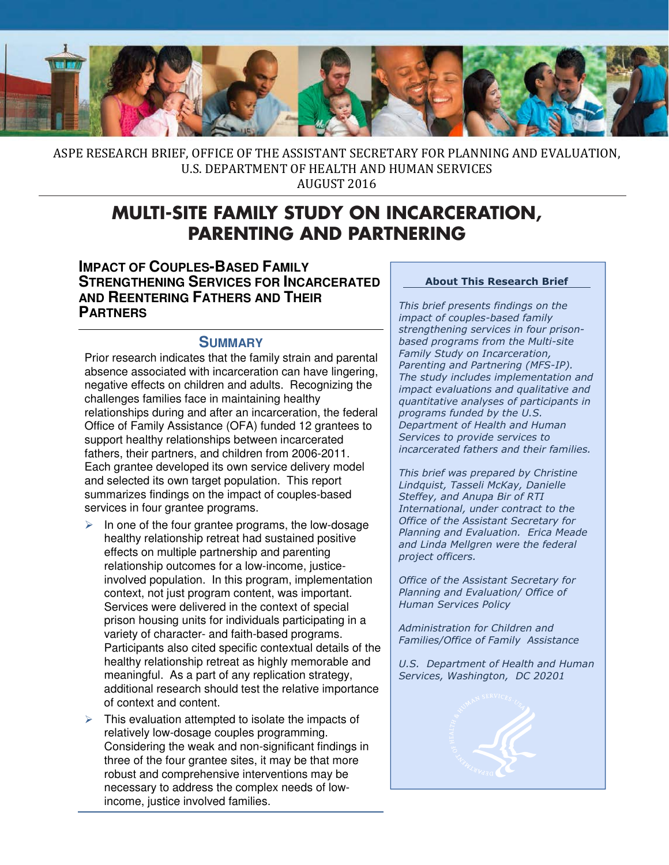

ASPE RESEARCH BRIEF, OFFICE OF THE ASSISTANT SECRETARY FOR PLANNING AND EVALUATION, U.S. DEPARTMENT OF HEALTH AND HUMAN SERVICES

AUGUST 2016

# **MULTI-SITE FAMILY STUDY ON INCARCERATION, PARENTING AND PARTNERING**

 **IMPACT OF COUPLES-BASED FAMILY STRENGTHENING SERVICES FOR INCARCERATED AND REENTERING FATHERS AND THEIR PARTNERS** 

### **SUMMARY**

 Prior research indicates that the family strain and parental absence associated with incarceration can have lingering, negative effects on children and adults. Recognizing the challenges families face in maintaining healthy relationships during and after an incarceration, the federal Office of Family Assistance (OFA) funded 12 grantees to support healthy relationships between incarcerated fathers, their partners, and children from 2006-2011. Each grantee developed its own service delivery model and selected its own target population. This report summarizes findings on the impact of couples-based services in four grantee programs.

- involved population. In this program, implementation variety of character- and faith-based programs. meaningful. As a part of any replication strategy,  $\triangleright$  In one of the four grantee programs, the low-dosage healthy relationship retreat had sustained positive effects on multiple partnership and parenting relationship outcomes for a low-income, justicecontext, not just program content, was important. Services were delivered in the context of special prison housing units for individuals participating in a Participants also cited specific contextual details of the healthy relationship retreat as highly memorable and additional research should test the relative importance of context and content.
- $\triangleright$  This evaluation attempted to isolate the impacts of relatively low-dosage couples programming. Considering the weak and non-significant findings in three of the four grantee sites, it may be that more robust and comprehensive interventions may be necessary to address the complex needs of lowincome, justice involved families.

#### About This Research Brief

This brief presents findings on the impact of couples-based family strengthening services in four prisonbased programs from the Multi-site Family Study on Incarceration, Parenting and Partnering (MFS-IP). The study includes implementation and impact evaluations and qualitative and quantitative analyses of participants in programs funded by the U.S. Department of Health and Human Services to provide services to incarcerated fathers and their families.

This brief was prepared by Christine Lindquist, Tasseli McKay, Danielle Steffey, and Anupa Bir of RTI International, under contract to the Office of the Assistant Secretary for Planning and Evaluation. Erica Meade and Linda Mellgren were the federal project officers.

Office of the Assistant Secretary for Planning and Evaluation/ Office of Human Services Policy

Administration for Children and Families/Office of Family Assistance

U.S. Department of Health and Human Services, Washington, DC 20201

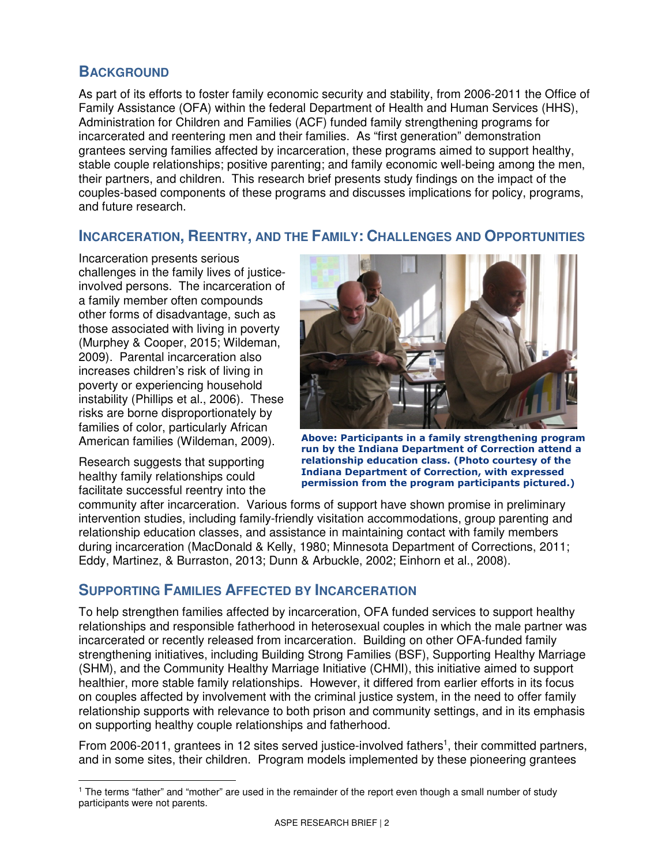## **BACKGROUND**

 As part of its efforts to foster family economic security and stability, from 2006-2011 the Office of Family Assistance (OFA) within the federal Department of Health and Human Services (HHS), Administration for Children and Families (ACF) funded family strengthening programs for incarcerated and reentering men and their families. As "first generation" demonstration grantees serving families affected by incarceration, these programs aimed to support healthy, stable couple relationships; positive parenting; and family economic well-being among the men, their partners, and children. This research brief presents study findings on the impact of the couples-based components of these programs and discusses implications for policy, programs, and future research.

## **INCARCERATION, REENTRY, AND THE FAMILY: CHALLENGES AND OPPORTUNITIES**

 Incarceration presents serious challenges in the family lives of justice- involved persons. The incarceration of a family member often compounds other forms of disadvantage, such as those associated with living in poverty (Murphey & Cooper, 2015; Wildeman, 2009). Parental incarceration also increases children's risk of living in poverty or experiencing household instability (Phillips et al., 2006). These risks are borne disproportionately by families of color, particularly African American families (Wildeman, 2009).

 Research suggests that supporting healthy family relationships could facilitate successful reentry into the



American families (Wildeman, 2009). Above: Participants in a family strengthening program run by the Indiana Department of Correction attend a relationship education class. (Photo courtesy of the Indiana Department of Correction, with expressed permission from the program participants pictured.)

 community after incarceration. Various forms of support have shown promise in preliminary intervention studies, including family-friendly visitation accommodations, group parenting and relationship education classes, and assistance in maintaining contact with family members during incarceration (MacDonald & Kelly, 1980; Minnesota Department of Corrections, 2011; Eddy, Martinez, & Burraston, 2013; Dunn & Arbuckle, 2002; Einhorn et al., 2008).

# **SUPPORTING FAMILIES AFFECTED BY INCARCERATION**

 To help strengthen families affected by incarceration, OFA funded services to support healthy relationships and responsible fatherhood in heterosexual couples in which the male partner was incarcerated or recently released from incarceration. Building on other OFA-funded family strengthening initiatives, including Building Strong Families (BSF), Supporting Healthy Marriage (SHM), and the Community Healthy Marriage Initiative (CHMI), this initiative aimed to support healthier, more stable family relationships. However, it differed from earlier efforts in its focus on couples affected by involvement with the criminal justice system, in the need to offer family relationship supports with relevance to both prison and community settings, and in its emphasis on supporting healthy couple relationships and fatherhood.

From 2006-2011, grantees in 12 sites served justice-involved fathers<sup>1</sup>, their committed partners, and in some sites, their children. Program models implemented by these pioneering grantees

 $\overline{a}$ 1 The terms "father" and "mother" are used in the remainder of the report even though a small number of study participants were not parents.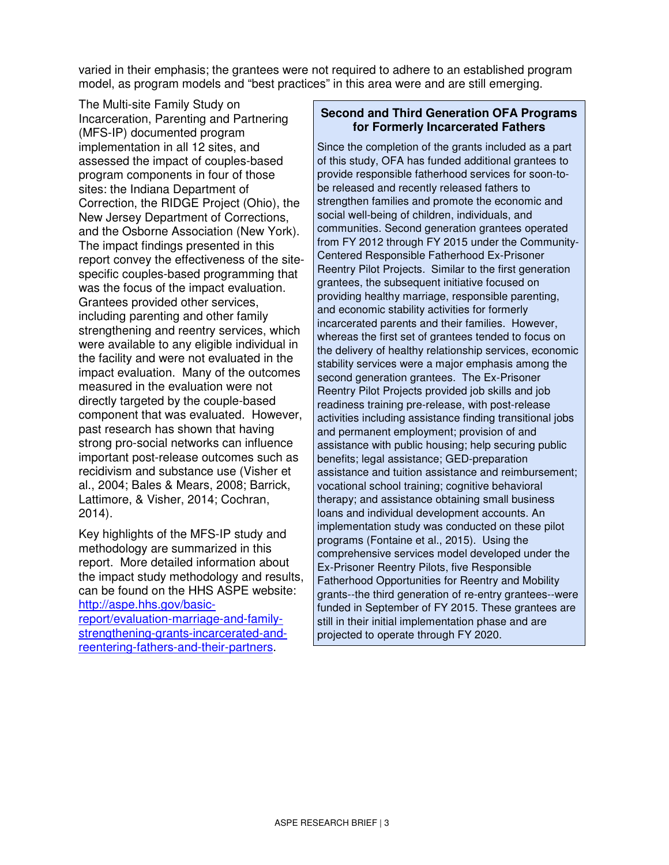varied in their emphasis; the grantees were not required to adhere to an established program model, as program models and "best practices" in this area were and are still emerging.

 The Multi-site Family Study on Incarceration, Parenting and Partnering (MFS-IP) documented program implementation in all 12 sites, and assessed the impact of couples-based program components in four of those sites: the Indiana Department of Correction, the RIDGE Project (Ohio), the New Jersey Department of Corrections, and the Osborne Association (New York). The impact findings presented in this report convey the effectiveness of the site- specific couples-based programming that was the focus of the impact evaluation. Grantees provided other services, including parenting and other family strengthening and reentry services, which were available to any eligible individual in the facility and were not evaluated in the impact evaluation. Many of the outcomes measured in the evaluation were not directly targeted by the couple-based component that was evaluated. However, past research has shown that having strong pro-social networks can influence important post-release outcomes such as recidivism and substance use (Visher et al., 2004; Bales & Mears, 2008; Barrick, Lattimore, & Visher, 2014; Cochran, 2014).

 Key highlights of the MFS-IP study and methodology are summarized in this report. More detailed information about the impact study methodology and results, can be found on the HHS ASPE website: http://aspe.hhs.gov/basic-

report/evaluation-marriage-and-familystrengthening-grants-incarcerated-andreentering-fathers-and-their-partners.

#### **Second and Third Generation OFA Programs for Formerly Incarcerated Fathers**

 Since the completion of the grants included as a part of this study, OFA has funded additional grantees to provide responsible fatherhood services for soon-to- be released and recently released fathers to strengthen families and promote the economic and social well-being of children, individuals, and communities. Second generation grantees operated from FY 2012 through FY 2015 under the Community- Reentry Pilot Projects. Similar to the first generation grantees, the subsequent initiative focused on providing healthy marriage, responsible parenting, and economic stability activities for formerly incarcerated parents and their families. However, whereas the first set of grantees tended to focus on the delivery of healthy relationship services, economic stability services were a major emphasis among the second generation grantees. The Ex-Prisoner Reentry Pilot Projects provided job skills and job readiness training pre-release, with post-release activities including assistance finding transitional jobs and permanent employment; provision of and assistance with public housing; help securing public benefits; legal assistance; GED-preparation assistance and tuition assistance and reimbursement; vocational school training; cognitive behavioral therapy; and assistance obtaining small business loans and individual development accounts. An implementation study was conducted on these pilot programs (Fontaine et al., 2015). Using the comprehensive services model developed under the Ex-Prisoner Reentry Pilots, five Responsible Fatherhood Opportunities for Reentry and Mobility grants--the third generation of re-entry grantees--were funded in September of FY 2015. These grantees are still in their initial implementation phase and are projected to operate through FY 2020. Centered Responsible Fatherhood Ex-Prisoner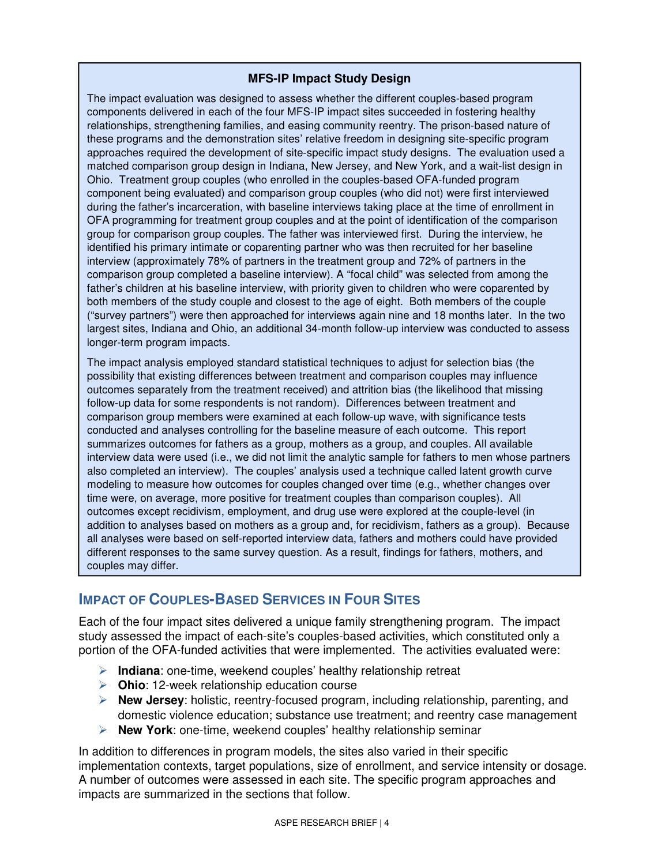#### **MFS-IP Impact Study Design**

 The impact evaluation was designed to assess whether the different couples-based program components delivered in each of the four MFS-IP impact sites succeeded in fostering healthy relationships, strengthening families, and easing community reentry. The prison-based nature of these programs and the demonstration sites' relative freedom in designing site-specific program approaches required the development of site-specific impact study designs. The evaluation used a matched comparison group design in Indiana, New Jersey, and New York, and a wait-list design in Ohio. Treatment group couples (who enrolled in the couples-based OFA-funded program component being evaluated) and comparison group couples (who did not) were first interviewed during the father's incarceration, with baseline interviews taking place at the time of enrollment in OFA programming for treatment group couples and at the point of identification of the comparison group for comparison group couples. The father was interviewed first. During the interview, he identified his primary intimate or coparenting partner who was then recruited for her baseline interview (approximately 78% of partners in the treatment group and 72% of partners in the comparison group completed a baseline interview). A "focal child" was selected from among the father's children at his baseline interview, with priority given to children who were coparented by both members of the study couple and closest to the age of eight. Both members of the couple ("survey partners") were then approached for interviews again nine and 18 months later. In the two largest sites, Indiana and Ohio, an additional 34-month follow-up interview was conducted to assess longer-term program impacts.

 follow-up data for some respondents is not random). Differences between treatment and conducted and analyses controlling for the baseline measure of each outcome. This report also completed an interview). The couples' analysis used a technique called latent growth curve time were, on average, more positive for treatment couples than comparison couples). All addition to analyses based on mothers as a group and, for recidivism, fathers as a group). Because couples may differ. The impact analysis employed standard statistical techniques to adjust for selection bias (the possibility that existing differences between treatment and comparison couples may influence outcomes separately from the treatment received) and attrition bias (the likelihood that missing comparison group members were examined at each follow-up wave, with significance tests summarizes outcomes for fathers as a group, mothers as a group, and couples. All available interview data were used (i.e., we did not limit the analytic sample for fathers to men whose partners modeling to measure how outcomes for couples changed over time (e.g., whether changes over outcomes except recidivism, employment, and drug use were explored at the couple-level (in all analyses were based on self-reported interview data, fathers and mothers could have provided different responses to the same survey question. As a result, findings for fathers, mothers, and

# **IMPACT OF COUPLES-BASED SERVICES IN FOUR SITES**

 Each of the four impact sites delivered a unique family strengthening program. The impact study assessed the impact of each-site's couples-based activities, which constituted only a portion of the OFA-funded activities that were implemented. The activities evaluated were:

- $\triangleright$  **Indiana**: one-time, weekend couples' healthy relationship retreat
- **Dhio**: 12-week relationship education course
- **EXECUTE:** New Jersey: holistic, reentry-focused program, including relationship, parenting, and domestic violence education; substance use treatment; and reentry case management
- **EXECT** New York: one-time, weekend couples' healthy relationship seminar

 In addition to differences in program models, the sites also varied in their specific implementation contexts, target populations, size of enrollment, and service intensity or dosage. A number of outcomes were assessed in each site. The specific program approaches and impacts are summarized in the sections that follow.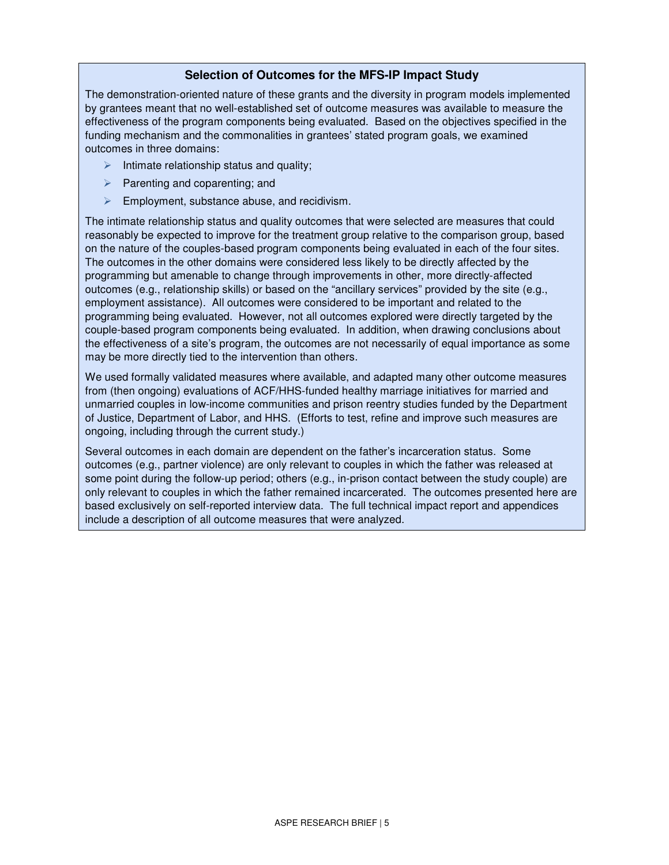#### **Selection of Outcomes for the MFS-IP Impact Study**

 The demonstration-oriented nature of these grants and the diversity in program models implemented by grantees meant that no well-established set of outcome measures was available to measure the effectiveness of the program components being evaluated. Based on the objectives specified in the funding mechanism and the commonalities in grantees' stated program goals, we examined outcomes in three domains:

- $\triangleright$  Intimate relationship status and quality;
- $\triangleright$  Parenting and coparenting; and
- $\triangleright$  Employment, substance abuse, and recidivism.

 The intimate relationship status and quality outcomes that were selected are measures that could reasonably be expected to improve for the treatment group relative to the comparison group, based on the nature of the couples-based program components being evaluated in each of the four sites. The outcomes in the other domains were considered less likely to be directly affected by the programming but amenable to change through improvements in other, more directly-affected outcomes (e.g., relationship skills) or based on the "ancillary services" provided by the site (e.g., employment assistance). All outcomes were considered to be important and related to the programming being evaluated. However, not all outcomes explored were directly targeted by the couple-based program components being evaluated. In addition, when drawing conclusions about the effectiveness of a site's program, the outcomes are not necessarily of equal importance as some may be more directly tied to the intervention than others.

 We used formally validated measures where available, and adapted many other outcome measures from (then ongoing) evaluations of ACF/HHS-funded healthy marriage initiatives for married and unmarried couples in low-income communities and prison reentry studies funded by the Department of Justice, Department of Labor, and HHS. (Efforts to test, refine and improve such measures are ongoing, including through the current study.)

 Several outcomes in each domain are dependent on the father's incarceration status. Some outcomes (e.g., partner violence) are only relevant to couples in which the father was released at some point during the follow-up period; others (e.g., in-prison contact between the study couple) are only relevant to couples in which the father remained incarcerated. The outcomes presented here are based exclusively on self-reported interview data. The full technical impact report and appendices include a description of all outcome measures that were analyzed.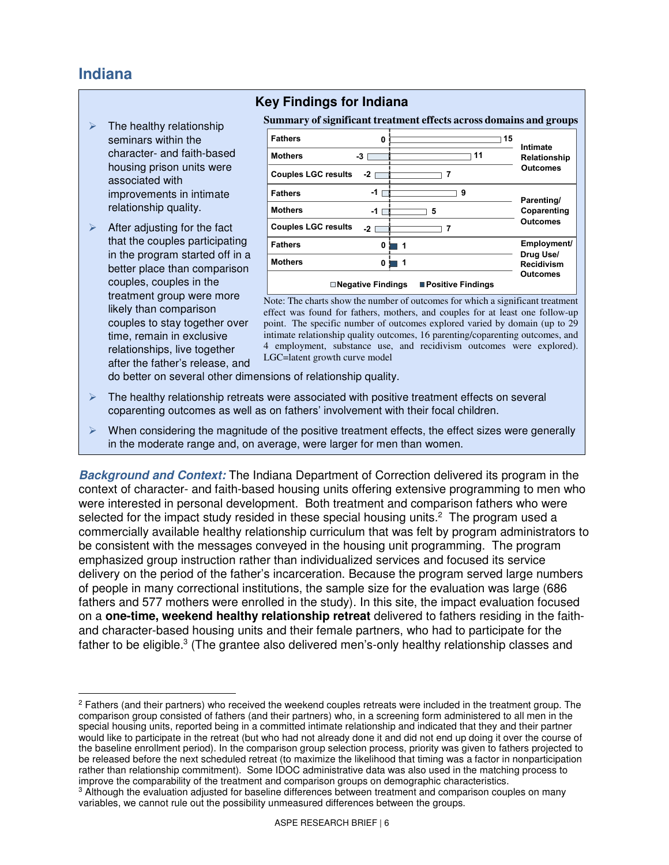# **Indiana**

- seminars within the relationship quality.  $\triangleright$  The healthy relationship character- and faith-based housing prison units were associated with improvements in intimate
- $\triangleright$  After adjusting for the fact that the couples participating in the program started off in a better place than comparison couples, couples in the treatment group were more likely than comparison couples to stay together over time, remain in exclusive relationships, live together after the father's release, and

### **Key Findings for Indiana**

 **Summary of significant treatment effects across domains and groups** 

| <b>Fathers</b>             | 0                          |             | 15                  | Intimate                       |
|----------------------------|----------------------------|-------------|---------------------|--------------------------------|
| <b>Mothers</b>             | -3                         |             | 11                  | Relationship                   |
| <b>Couples LGC results</b> | $-21$                      |             |                     | <b>Outcomes</b>                |
| <b>Fathers</b>             | $-11$                      |             | 9                   | Parenting/                     |
| <b>Mothers</b>             | $-1$ [                     |             | 5                   | Coparenting                    |
| <b>Couples LGC results</b> | $-2$                       |             |                     | <b>Outcomes</b>                |
| <b>Fathers</b>             | 0                          | 1           |                     | <b>Employment/</b>             |
| <b>Mothers</b>             | 0                          | $\mathbf 1$ |                     | Drug Use/<br><b>Recidivism</b> |
|                            | <b>□ Negative Findings</b> |             | ■ Positive Findings | <b>Outcomes</b>                |

 Note: The charts show the number of outcomes for which a significant treatment effect was found for fathers, mothers, and couples for at least one follow-up point. The specific number of outcomes explored varied by domain (up to 29 intimate relationship quality outcomes, 16 parenting/coparenting outcomes, and 4 employment, substance use, and recidivism outcomes were explored). LGC=latent growth curve model

- do better on several other dimensions of relationship quality.
- $\triangleright$  The healthy relationship retreats were associated with positive treatment effects on several coparenting outcomes as well as on fathers' involvement with their focal children.
- $\triangleright$  When considering the magnitude of the positive treatment effects, the effect sizes were generally in the moderate range and, on average, were larger for men than women.

**Background and Context:** The Indiana Department of Correction delivered its program in the context of character- and faith-based housing units offering extensive programming to men who were interested in personal development. Both treatment and comparison fathers who were selected for the impact study resided in these special housing units.<sup>2</sup> The program used a commercially available healthy relationship curriculum that was felt by program administrators to be consistent with the messages conveyed in the housing unit programming. The program emphasized group instruction rather than individualized services and focused its service delivery on the period of the father's incarceration. Because the program served large numbers of people in many correctional institutions, the sample size for the evaluation was large (686 fathers and 577 mothers were enrolled in the study). In this site, the impact evaluation focused on a **one-time, weekend healthy relationship retreat** delivered to fathers residing in the faith- and character-based housing units and their female partners, who had to participate for the father to be eligible.<sup>3</sup> (The grantee also delivered men's-only healthy relationship classes and

 $\overline{a}$ <sup>2</sup> Fathers (and their partners) who received the weekend couples retreats were included in the treatment group. The comparison group consisted of fathers (and their partners) who, in a screening form administered to all men in the special housing units, reported being in a committed intimate relationship and indicated that they and their partner would like to participate in the retreat (but who had not already done it and did not end up doing it over the course of the baseline enrollment period). In the comparison group selection process, priority was given to fathers projected to be released before the next scheduled retreat (to maximize the likelihood that timing was a factor in nonparticipation rather than relationship commitment). Some IDOC administrative data was also used in the matching process to improve the comparability of the treatment and comparison groups on demographic characteristics.

 $3$  Although the evaluation adjusted for baseline differences between treatment and comparison couples on many variables, we cannot rule out the possibility unmeasured differences between the groups.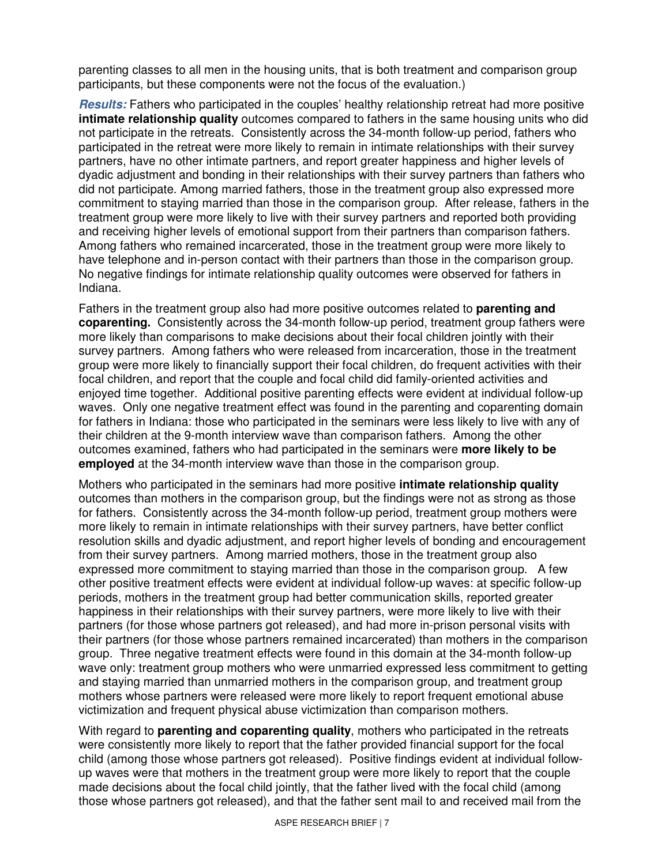parenting classes to all men in the housing units, that is both treatment and comparison group participants, but these components were not the focus of the evaluation.)

 **Results:** Fathers who participated in the couples' healthy relationship retreat had more positive **intimate relationship quality** outcomes compared to fathers in the same housing units who did not participate in the retreats. Consistently across the 34-month follow-up period, fathers who participated in the retreat were more likely to remain in intimate relationships with their survey partners, have no other intimate partners, and report greater happiness and higher levels of dyadic adjustment and bonding in their relationships with their survey partners than fathers who did not participate. Among married fathers, those in the treatment group also expressed more commitment to staying married than those in the comparison group. After release, fathers in the treatment group were more likely to live with their survey partners and reported both providing and receiving higher levels of emotional support from their partners than comparison fathers. Among fathers who remained incarcerated, those in the treatment group were more likely to have telephone and in-person contact with their partners than those in the comparison group. No negative findings for intimate relationship quality outcomes were observed for fathers in Indiana.

 Fathers in the treatment group also had more positive outcomes related to **parenting and coparenting.** Consistently across the 34-month follow-up period, treatment group fathers were more likely than comparisons to make decisions about their focal children jointly with their survey partners. Among fathers who were released from incarceration, those in the treatment group were more likely to financially support their focal children, do frequent activities with their focal children, and report that the couple and focal child did family-oriented activities and enjoyed time together. Additional positive parenting effects were evident at individual follow-up waves. Only one negative treatment effect was found in the parenting and coparenting domain for fathers in Indiana: those who participated in the seminars were less likely to live with any of their children at the 9-month interview wave than comparison fathers. Among the other outcomes examined, fathers who had participated in the seminars were **more likely to be employed** at the 34-month interview wave than those in the comparison group.

 Mothers who participated in the seminars had more positive **intimate relationship quality**  outcomes than mothers in the comparison group, but the findings were not as strong as those for fathers. Consistently across the 34-month follow-up period, treatment group mothers were more likely to remain in intimate relationships with their survey partners, have better conflict resolution skills and dyadic adjustment, and report higher levels of bonding and encouragement from their survey partners. Among married mothers, those in the treatment group also expressed more commitment to staying married than those in the comparison group. A few other positive treatment effects were evident at individual follow-up waves: at specific follow-up periods, mothers in the treatment group had better communication skills, reported greater happiness in their relationships with their survey partners, were more likely to live with their partners (for those whose partners got released), and had more in-prison personal visits with their partners (for those whose partners remained incarcerated) than mothers in the comparison group. Three negative treatment effects were found in this domain at the 34-month follow-up wave only: treatment group mothers who were unmarried expressed less commitment to getting and staying married than unmarried mothers in the comparison group, and treatment group mothers whose partners were released were more likely to report frequent emotional abuse victimization and frequent physical abuse victimization than comparison mothers.

 With regard to **parenting and coparenting quality**, mothers who participated in the retreats were consistently more likely to report that the father provided financial support for the focal child (among those whose partners got released). Positive findings evident at individual follow- up waves were that mothers in the treatment group were more likely to report that the couple made decisions about the focal child jointly, that the father lived with the focal child (among those whose partners got released), and that the father sent mail to and received mail from the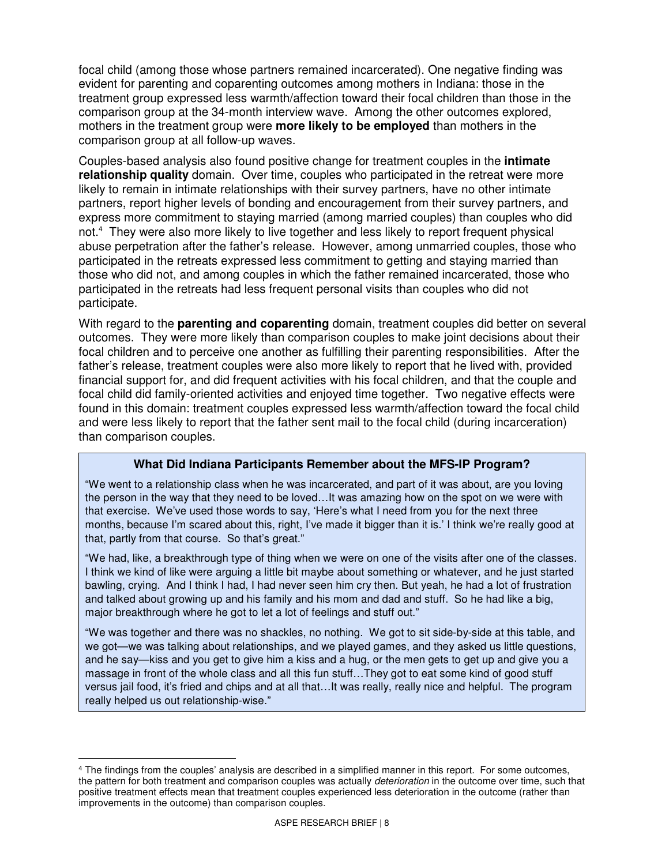focal child (among those whose partners remained incarcerated). One negative finding was evident for parenting and coparenting outcomes among mothers in Indiana: those in the treatment group expressed less warmth/affection toward their focal children than those in the comparison group at the 34-month interview wave. Among the other outcomes explored, mothers in the treatment group were **more likely to be employed** than mothers in the comparison group at all follow-up waves.

 Couples-based analysis also found positive change for treatment couples in the **intimate relationship quality** domain. Over time, couples who participated in the retreat were more likely to remain in intimate relationships with their survey partners, have no other intimate partners, report higher levels of bonding and encouragement from their survey partners, and express more commitment to staying married (among married couples) than couples who did not.<sup>4</sup> They were also more likely to live together and less likely to report frequent physical abuse perpetration after the father's release. However, among unmarried couples, those who participated in the retreats expressed less commitment to getting and staying married than those who did not, and among couples in which the father remained incarcerated, those who participated in the retreats had less frequent personal visits than couples who did not participate.

participate.<br>With regard to the **parenting and coparenting** domain, treatment couples did better on several outcomes. They were more likely than comparison couples to make joint decisions about their focal children and to perceive one another as fulfilling their parenting responsibilities. After the father's release, treatment couples were also more likely to report that he lived with, provided financial support for, and did frequent activities with his focal children, and that the couple and focal child did family-oriented activities and enjoyed time together. Two negative effects were found in this domain: treatment couples expressed less warmth/affection toward the focal child and were less likely to report that the father sent mail to the focal child (during incarceration) than comparison couples.

#### **What Did Indiana Participants Remember about the MFS-IP Program?**

 "We went to a relationship class when he was incarcerated, and part of it was about, are you loving the person in the way that they need to be loved…It was amazing how on the spot on we were with that exercise. We've used those words to say, 'Here's what I need from you for the next three months, because I'm scared about this, right, I've made it bigger than it is.' I think we're really good at that, partly from that course. So that's great."

 "We had, like, a breakthrough type of thing when we were on one of the visits after one of the classes. I think we kind of like were arguing a little bit maybe about something or whatever, and he just started bawling, crying. And I think I had, I had never seen him cry then. But yeah, he had a lot of frustration and talked about growing up and his family and his mom and dad and stuff. So he had like a big, major breakthrough where he got to let a lot of feelings and stuff out."

 "We was together and there was no shackles, no nothing. We got to sit side-by-side at this table, and we got—we was talking about relationships, and we played games, and they asked us little questions, and he say—kiss and you get to give him a kiss and a hug, or the men gets to get up and give you a massage in front of the whole class and all this fun stuff…They got to eat some kind of good stuff versus jail food, it's fried and chips and at all that…It was really, really nice and helpful. The program really helped us out relationship-wise."

 $\overline{a}$ <sup>4</sup> The findings from the couples' analysis are described in a simplified manner in this report. For some outcomes, the pattern for both treatment and comparison couples was actually *deterioration* in the outcome over time, such that positive treatment effects mean that treatment couples experienced less deterioration in the outcome (rather than improvements in the outcome) than comparison couples.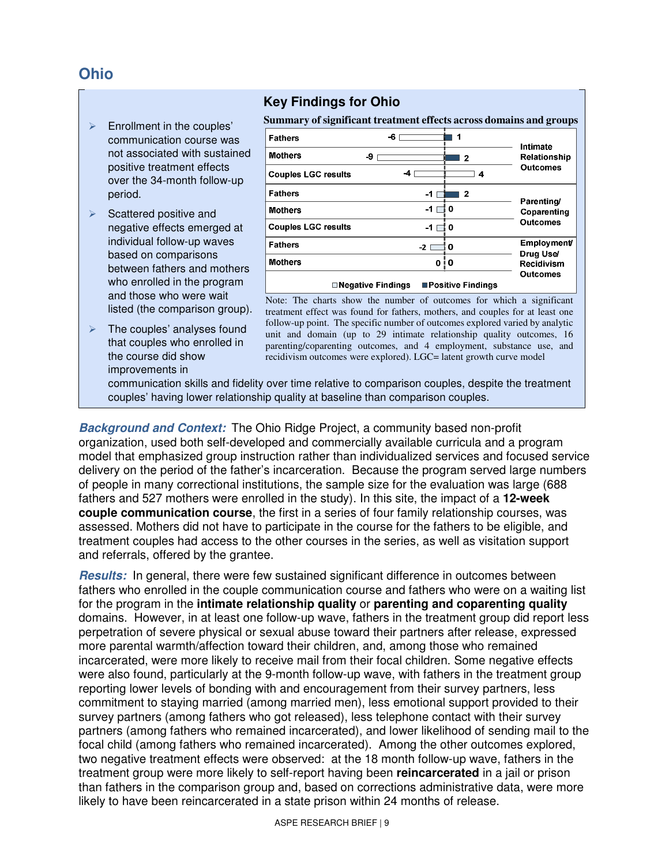# **Ohio**

- period.  $\triangleright$  Enrollment in the couples' communication course was not associated with sustained positive treatment effects over the 34-month follow-up
- listed (the comparison group).  $\triangleright$  Scattered positive and negative effects emerged at individual follow-up waves based on comparisons between fathers and mothers who enrolled in the program and those who were wait
- $\triangleright$  The couples' analyses found that couples who enrolled in the course did show improvements in

### **Key Findings for Ohio**

|                            | Summary of significant treatment effects across domains and groups |                                 |
|----------------------------|--------------------------------------------------------------------|---------------------------------|
| <b>Fathers</b>             | 1<br>-6                                                            | Intimate                        |
| <b>Mothers</b><br>-9       | $\mathbf{2}$                                                       | Relationship                    |
| <b>Couples LGC results</b> | -4<br>4                                                            | <b>Outcomes</b>                 |
| <b>Fathers</b>             | -1<br>$\mathbf{2}$                                                 | Parenting/                      |
| <b>Mothers</b>             | -1<br>0                                                            | Coparenting                     |
| <b>Couples LGC results</b> | -1<br>0                                                            | Outcomes                        |
| <b>Fathers</b>             | 0<br>$-2$                                                          | <b>Employment/</b><br>Drug Use/ |
| <b>Mothers</b>             | 0<br>ΙO                                                            | <b>Recidivism</b>               |
| <b>Negative Findings</b>   | Outcomes                                                           |                                 |

 Note: The charts show the number of outcomes for which a significant treatment effect was found for fathers, mothers, and couples for at least one follow-up point. The specific number of outcomes explored varied by analytic unit and domain (up to 29 intimate relationship quality outcomes, 16 parenting/coparenting outcomes, and 4 employment, substance use, and recidivism outcomes were explored). LGC= latent growth curve model

 communication skills and fidelity over time relative to comparison couples, despite the treatment couples' having lower relationship quality at baseline than comparison couples.

**Background and Context:** The Ohio Ridge Project, a community based non-profit organization, used both self-developed and commercially available curricula and a program model that emphasized group instruction rather than individualized services and focused service delivery on the period of the father's incarceration. Because the program served large numbers of people in many correctional institutions, the sample size for the evaluation was large (688 fathers and 527 mothers were enrolled in the study). In this site, the impact of a **12-week couple communication course**, the first in a series of four family relationship courses, was assessed. Mothers did not have to participate in the course for the fathers to be eligible, and treatment couples had access to the other courses in the series, as well as visitation support and referrals, offered by the grantee.

 **Results:** In general, there were few sustained significant difference in outcomes between fathers who enrolled in the couple communication course and fathers who were on a waiting list for the program in the **intimate relationship quality** or **parenting and coparenting quality**  domains. However, in at least one follow-up wave, fathers in the treatment group did report less perpetration of severe physical or sexual abuse toward their partners after release, expressed more parental warmth/affection toward their children, and, among those who remained incarcerated, were more likely to receive mail from their focal children. Some negative effects were also found, particularly at the 9-month follow-up wave, with fathers in the treatment group reporting lower levels of bonding with and encouragement from their survey partners, less commitment to staying married (among married men), less emotional support provided to their survey partners (among fathers who got released), less telephone contact with their survey partners (among fathers who remained incarcerated), and lower likelihood of sending mail to the focal child (among fathers who remained incarcerated). Among the other outcomes explored, two negative treatment effects were observed: at the 18 month follow-up wave, fathers in the treatment group were more likely to self-report having been **reincarcerated** in a jail or prison than fathers in the comparison group and, based on corrections administrative data, were more likely to have been reincarcerated in a state prison within 24 months of release.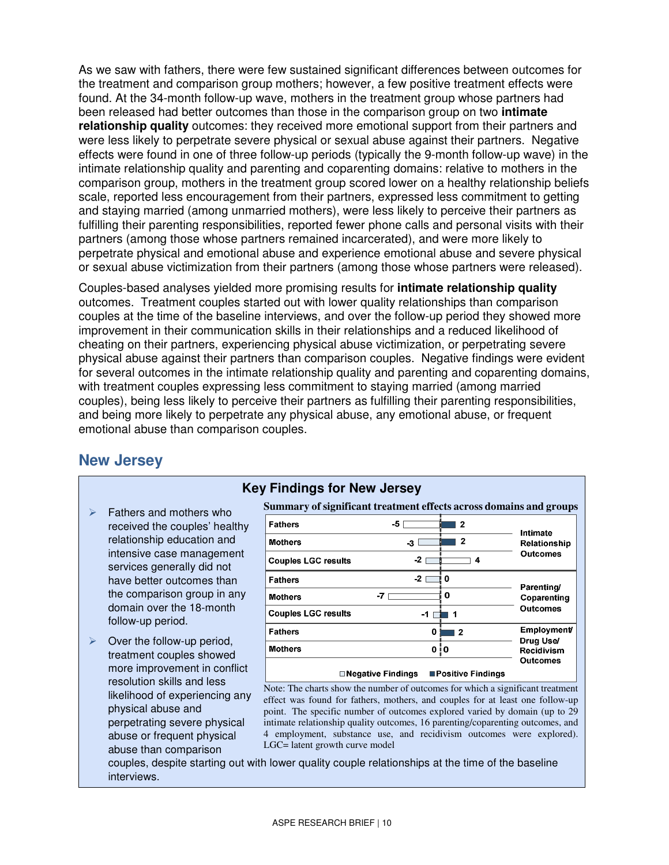As we saw with fathers, there were few sustained significant differences between outcomes for the treatment and comparison group mothers; however, a few positive treatment effects were found. At the 34-month follow-up wave, mothers in the treatment group whose partners had been released had better outcomes than those in the comparison group on two **intimate relationship quality** outcomes: they received more emotional support from their partners and were less likely to perpetrate severe physical or sexual abuse against their partners. Negative effects were found in one of three follow-up periods (typically the 9-month follow-up wave) in the intimate relationship quality and parenting and coparenting domains: relative to mothers in the comparison group, mothers in the treatment group scored lower on a healthy relationship beliefs scale, reported less encouragement from their partners, expressed less commitment to getting and staying married (among unmarried mothers), were less likely to perceive their partners as fulfilling their parenting responsibilities, reported fewer phone calls and personal visits with their partners (among those whose partners remained incarcerated), and were more likely to perpetrate physical and emotional abuse and experience emotional abuse and severe physical or sexual abuse victimization from their partners (among those whose partners were released).

 Couples-based analyses yielded more promising results for **intimate relationship quality**  outcomes. Treatment couples started out with lower quality relationships than comparison couples at the time of the baseline interviews, and over the follow-up period they showed more improvement in their communication skills in their relationships and a reduced likelihood of cheating on their partners, experiencing physical abuse victimization, or perpetrating severe physical abuse against their partners than comparison couples. Negative findings were evident for several outcomes in the intimate relationship quality and parenting and coparenting domains, with treatment couples expressing less commitment to staying married (among married couples), being less likely to perceive their partners as fulfilling their parenting responsibilities, and being more likely to perpetrate any physical abuse, any emotional abuse, or frequent emotional abuse than comparison couples.

## **New Jersey**

- $\triangleright$  Fathers and mothers who received the couples' healthy relationship education and intensive case management services generally did not have better outcomes than the comparison group in any domain over the 18-month follow-up period.
- $\triangleright$  Over the follow-up period, treatment couples showed more improvement in conflict resolution skills and less likelihood of experiencing any physical abuse and perpetrating severe physical abuse or frequent physical abuse than comparison

### **Key Findings for New Jersey**

|                                                | Summary of significant treatment effects across domains and groups |                                |  |  |  |
|------------------------------------------------|--------------------------------------------------------------------|--------------------------------|--|--|--|
| <b>Fathers</b>                                 | -5<br>2                                                            | Intimate                       |  |  |  |
| <b>Mothers</b>                                 | 2<br>$-3$                                                          | Relationship                   |  |  |  |
| <b>Couples LGC results</b>                     | -21<br>4                                                           | <b>Outcomes</b>                |  |  |  |
| <b>Fathers</b>                                 | $-21$<br>0                                                         |                                |  |  |  |
| <b>Mothers</b>                                 | 0<br>-7                                                            | Parenting/<br>Coparenting      |  |  |  |
| <b>Couples LGC results</b>                     | -1                                                                 | <b>Outcomes</b>                |  |  |  |
| <b>Fathers</b>                                 | 0<br>$\overline{\mathbf{2}}$                                       | <b>Employment/</b>             |  |  |  |
| <b>Mothers</b>                                 | 0<br>i O                                                           | Drug Use/<br><b>Recidivism</b> |  |  |  |
|                                                |                                                                    | Outcomes                       |  |  |  |
| ■Positive Findings<br><b>Negative Findings</b> |                                                                    |                                |  |  |  |

 Note: The charts show the number of outcomes for which a significant treatment effect was found for fathers, mothers, and couples for at least one follow-up point. The specific number of outcomes explored varied by domain (up to 29 intimate relationship quality outcomes, 16 parenting/coparenting outcomes, and 4 employment, substance use, and recidivism outcomes were explored). LGC= latent growth curve model

 couples, despite starting out with lower quality couple relationships at the time of the baseline interviews.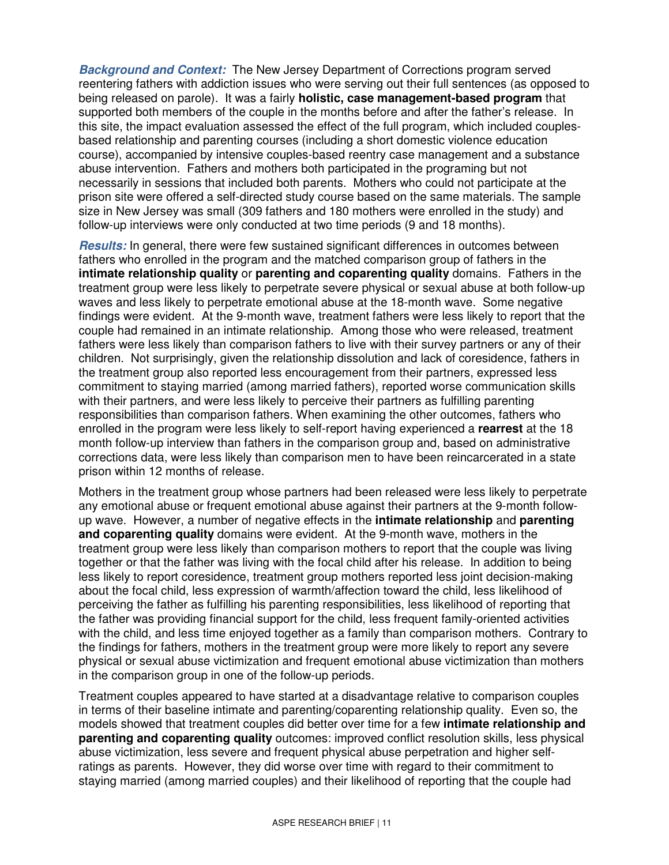**Background and Context:** The New Jersey Department of Corrections program served reentering fathers with addiction issues who were serving out their full sentences (as opposed to being released on parole). It was a fairly **holistic, case management-based program** that supported both members of the couple in the months before and after the father's release. In this site, the impact evaluation assessed the effect of the full program, which included couples- based relationship and parenting courses (including a short domestic violence education course), accompanied by intensive couples-based reentry case management and a substance abuse intervention. Fathers and mothers both participated in the programing but not necessarily in sessions that included both parents. Mothers who could not participate at the prison site were offered a self-directed study course based on the same materials. The sample size in New Jersey was small (309 fathers and 180 mothers were enrolled in the study) and follow-up interviews were only conducted at two time periods (9 and 18 months).

 **Results:** In general, there were few sustained significant differences in outcomes between fathers who enrolled in the program and the matched comparison group of fathers in the  **intimate relationship quality** or **parenting and coparenting quality** domains. Fathers in the treatment group were less likely to perpetrate severe physical or sexual abuse at both follow-up waves and less likely to perpetrate emotional abuse at the 18-month wave. Some negative findings were evident. At the 9-month wave, treatment fathers were less likely to report that the couple had remained in an intimate relationship. Among those who were released, treatment fathers were less likely than comparison fathers to live with their survey partners or any of their children. Not surprisingly, given the relationship dissolution and lack of coresidence, fathers in the treatment group also reported less encouragement from their partners, expressed less commitment to staying married (among married fathers), reported worse communication skills with their partners, and were less likely to perceive their partners as fulfilling parenting responsibilities than comparison fathers. When examining the other outcomes, fathers who enrolled in the program were less likely to self-report having experienced a **rearrest** at the 18 month follow-up interview than fathers in the comparison group and, based on administrative corrections data, were less likely than comparison men to have been reincarcerated in a state prison within 12 months of release.

 Mothers in the treatment group whose partners had been released were less likely to perpetrate any emotional abuse or frequent emotional abuse against their partners at the 9-month follow- up wave. However, a number of negative effects in the **intimate relationship** and **parenting and coparenting quality** domains were evident. At the 9-month wave, mothers in the treatment group were less likely than comparison mothers to report that the couple was living together or that the father was living with the focal child after his release. In addition to being less likely to report coresidence, treatment group mothers reported less joint decision-making about the focal child, less expression of warmth/affection toward the child, less likelihood of perceiving the father as fulfilling his parenting responsibilities, less likelihood of reporting that the father was providing financial support for the child, less frequent family-oriented activities with the child, and less time enjoyed together as a family than comparison mothers. Contrary to the findings for fathers, mothers in the treatment group were more likely to report any severe physical or sexual abuse victimization and frequent emotional abuse victimization than mothers in the comparison group in one of the follow-up periods.

 Treatment couples appeared to have started at a disadvantage relative to comparison couples in terms of their baseline intimate and parenting/coparenting relationship quality. Even so, the models showed that treatment couples did better over time for a few **intimate relationship and parenting and coparenting quality** outcomes: improved conflict resolution skills, less physical abuse victimization, less severe and frequent physical abuse perpetration and higher self- ratings as parents. However, they did worse over time with regard to their commitment to staying married (among married couples) and their likelihood of reporting that the couple had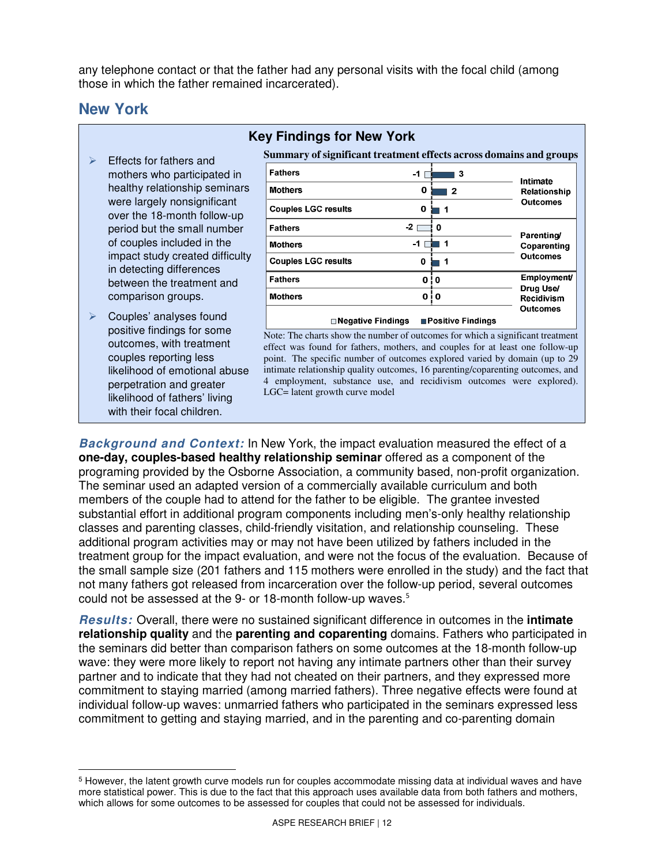any telephone contact or that the father had any personal visits with the focal child (among those in which the father remained incarcerated).

### **New York**

- $\triangleright$  Effects for fathers and mothers who participated in healthy relationship seminars were largely nonsignificant over the 18-month follow-up period but the small number of couples included in the impact study created difficulty in detecting differences between the treatment and comparison groups.
- $\triangleright$  Couples' analyses found positive findings for some outcomes, with treatment couples reporting less likelihood of emotional abuse perpetration and greater likelihood of fathers' living with their focal children.

### **Key Findings for New York**

 **Summary of significant treatment effects across domains and groups** 

| <b>Fathers</b><br>-1                                    | 3               | Intimate                                             |
|---------------------------------------------------------|-----------------|------------------------------------------------------|
| <b>Mothers</b><br>0                                     | 2               | Relationship<br><b>Outcomes</b>                      |
| <b>Couples LGC results</b><br>0                         | 1               |                                                      |
| -2<br><b>Fathers</b>                                    | 0               | Parenting/<br>Coparenting                            |
| -1<br><b>Mothers</b>                                    | 1               |                                                      |
| <b>Couples LGC results</b><br>0                         | 1               | <b>Outcomes</b>                                      |
| <b>Fathers</b><br>0                                     | 0               | <b>Employment/</b><br>Drug Use/<br><b>Recidivism</b> |
| 0<br><b>Mothers</b>                                     | i O             |                                                      |
| <b>□ Negative Findings</b><br><b>■Positive Findings</b> | <b>Outcomes</b> |                                                      |

 Note: The charts show the number of outcomes for which a significant treatment effect was found for fathers, mothers, and couples for at least one follow-up point. The specific number of outcomes explored varied by domain (up to 29 intimate relationship quality outcomes, 16 parenting/coparenting outcomes, and 4 employment, substance use, and recidivism outcomes were explored). LGC= latent growth curve model

 **Background and Context:** In New York, the impact evaluation measured the effect of a  **one-day, couples-based healthy relationship seminar** offered as a component of the programing provided by the Osborne Association, a community based, non-profit organization. The seminar used an adapted version of a commercially available curriculum and both members of the couple had to attend for the father to be eligible. The grantee invested substantial effort in additional program components including men's-only healthy relationship classes and parenting classes, child-friendly visitation, and relationship counseling. These additional program activities may or may not have been utilized by fathers included in the treatment group for the impact evaluation, and were not the focus of the evaluation. Because of the small sample size (201 fathers and 115 mothers were enrolled in the study) and the fact that not many fathers got released from incarceration over the follow-up period, several outcomes could not be assessed at the 9- or 18-month follow-up waves.<sup>5</sup>

 **Results:** Overall, there were no sustained significant difference in outcomes in the **intimate relationship quality** and the **parenting and coparenting** domains. Fathers who participated in the seminars did better than comparison fathers on some outcomes at the 18-month follow-up wave: they were more likely to report not having any intimate partners other than their survey partner and to indicate that they had not cheated on their partners, and they expressed more commitment to staying married (among married fathers). Three negative effects were found at individual follow-up waves: unmarried fathers who participated in the seminars expressed less commitment to getting and staying married, and in the parenting and co-parenting domain

 $\overline{a}$ <sup>5</sup> However, the latent growth curve models run for couples accommodate missing data at individual waves and have more statistical power. This is due to the fact that this approach uses available data from both fathers and mothers, which allows for some outcomes to be assessed for couples that could not be assessed for individuals.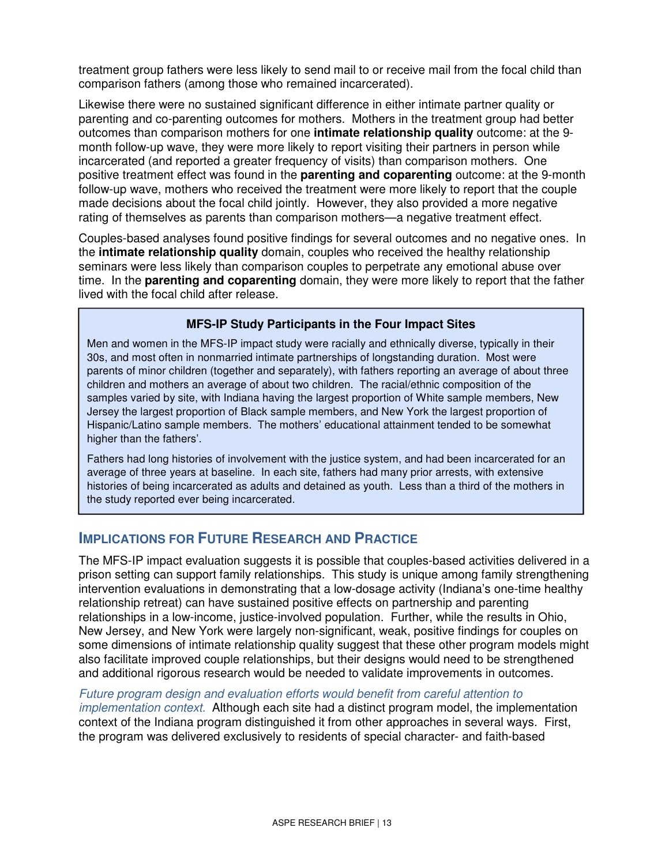treatment group fathers were less likely to send mail to or receive mail from the focal child than comparison fathers (among those who remained incarcerated).

 Likewise there were no sustained significant difference in either intimate partner quality or parenting and co-parenting outcomes for mothers. Mothers in the treatment group had better outcomes than comparison mothers for one **intimate relationship quality** outcome: at the 9 month follow-up wave, they were more likely to report visiting their partners in person while incarcerated (and reported a greater frequency of visits) than comparison mothers. One positive treatment effect was found in the **parenting and coparenting** outcome: at the 9-month follow-up wave, mothers who received the treatment were more likely to report that the couple made decisions about the focal child jointly. However, they also provided a more negative rating of themselves as parents than comparison mothers—a negative treatment effect.

 Couples-based analyses found positive findings for several outcomes and no negative ones. In the **intimate relationship quality** domain, couples who received the healthy relationship seminars were less likely than comparison couples to perpetrate any emotional abuse over time. In the **parenting and coparenting** domain, they were more likely to report that the father lived with the focal child after release.

#### **MFS-IP Study Participants in the Four Impact Sites**

 Men and women in the MFS-IP impact study were racially and ethnically diverse, typically in their 30s, and most often in nonmarried intimate partnerships of longstanding duration. Most were parents of minor children (together and separately), with fathers reporting an average of about three children and mothers an average of about two children. The racial/ethnic composition of the samples varied by site, with Indiana having the largest proportion of White sample members, New Jersey the largest proportion of Black sample members, and New York the largest proportion of Hispanic/Latino sample members. The mothers' educational attainment tended to be somewhat higher than the fathers'.

 Fathers had long histories of involvement with the justice system, and had been incarcerated for an average of three years at baseline. In each site, fathers had many prior arrests, with extensive histories of being incarcerated as adults and detained as youth. Less than a third of the mothers in the study reported ever being incarcerated.

### **IMPLICATIONS FOR FUTURE RESEARCH AND PRACTICE**

 The MFS-IP impact evaluation suggests it is possible that couples-based activities delivered in a prison setting can support family relationships. This study is unique among family strengthening intervention evaluations in demonstrating that a low-dosage activity (Indiana's one-time healthy relationship retreat) can have sustained positive effects on partnership and parenting relationships in a low-income, justice-involved population. Further, while the results in Ohio, New Jersey, and New York were largely non-significant, weak, positive findings for couples on some dimensions of intimate relationship quality suggest that these other program models might also facilitate improved couple relationships, but their designs would need to be strengthened and additional rigorous research would be needed to validate improvements in outcomes.

 Future program design and evaluation efforts would benefit from careful attention to implementation context. Although each site had a distinct program model, the implementation context of the Indiana program distinguished it from other approaches in several ways. First, the program was delivered exclusively to residents of special character- and faith-based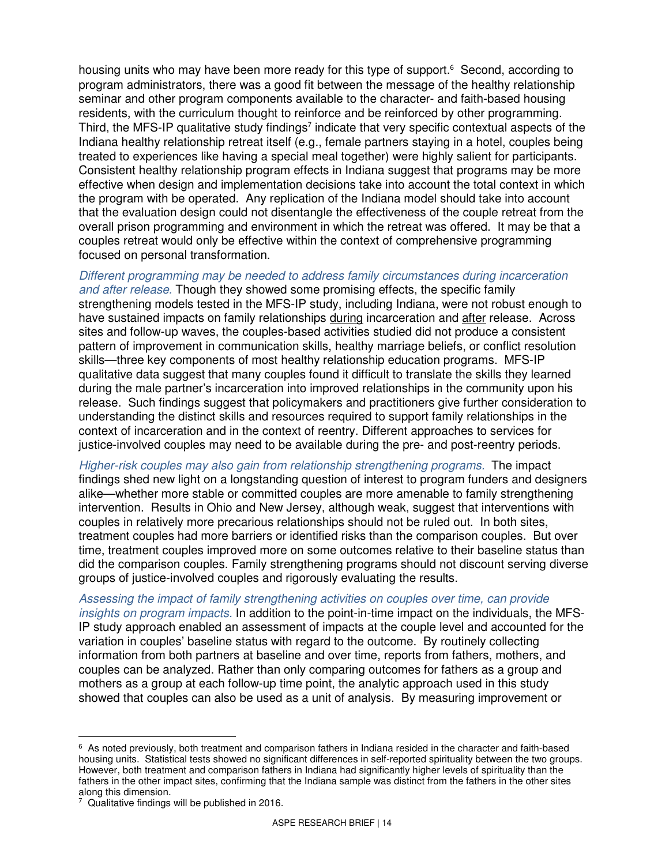housing units who may have been more ready for this type of support.<sup>6</sup> Second, according to program administrators, there was a good fit between the message of the healthy relationship seminar and other program components available to the character- and faith-based housing residents, with the curriculum thought to reinforce and be reinforced by other programming. Third, the MFS-IP qualitative study findings<sup>7</sup> indicate that very specific contextual aspects of the Indiana healthy relationship retreat itself (e.g., female partners staying in a hotel, couples being treated to experiences like having a special meal together) were highly salient for participants. Consistent healthy relationship program effects in Indiana suggest that programs may be more effective when design and implementation decisions take into account the total context in which the program with be operated. Any replication of the Indiana model should take into account that the evaluation design could not disentangle the effectiveness of the couple retreat from the overall prison programming and environment in which the retreat was offered. It may be that a couples retreat would only be effective within the context of comprehensive programming focused on personal transformation.

 Different programming may be needed to address family circumstances during incarceration and after release. Though they showed some promising effects, the specific family strengthening models tested in the MFS-IP study, including Indiana, were not robust enough to have sustained impacts on family relationships during incarceration and after release. Across sites and follow-up waves, the couples-based activities studied did not produce a consistent pattern of improvement in communication skills, healthy marriage beliefs, or conflict resolution skills—three key components of most healthy relationship education programs. MFS-IP qualitative data suggest that many couples found it difficult to translate the skills they learned during the male partner's incarceration into improved relationships in the community upon his release. Such findings suggest that policymakers and practitioners give further consideration to understanding the distinct skills and resources required to support family relationships in the context of incarceration and in the context of reentry. Different approaches to services for justice-involved couples may need to be available during the pre- and post-reentry periods.

 Higher-risk couples may also gain from relationship strengthening programs. The impact findings shed new light on a longstanding question of interest to program funders and designers alike—whether more stable or committed couples are more amenable to family strengthening intervention. Results in Ohio and New Jersey, although weak, suggest that interventions with couples in relatively more precarious relationships should not be ruled out. In both sites, treatment couples had more barriers or identified risks than the comparison couples. But over time, treatment couples improved more on some outcomes relative to their baseline status than did the comparison couples. Family strengthening programs should not discount serving diverse groups of justice-involved couples and rigorously evaluating the results.

 Assessing the impact of family strengthening activities on couples over time, can provide insights on program impacts. In addition to the point-in-time impact on the individuals, the MFS- IP study approach enabled an assessment of impacts at the couple level and accounted for the variation in couples' baseline status with regard to the outcome. By routinely collecting information from both partners at baseline and over time, reports from fathers, mothers, and couples can be analyzed. Rather than only comparing outcomes for fathers as a group and mothers as a group at each follow-up time point, the analytic approach used in this study showed that couples can also be used as a unit of analysis. By measuring improvement or

 $\overline{a}$  $6$  As noted previously, both treatment and comparison fathers in Indiana resided in the character and faith-based housing units. Statistical tests showed no significant differences in self-reported spirituality between the two groups. However, both treatment and comparison fathers in Indiana had significantly higher levels of spirituality than the fathers in the other impact sites, confirming that the Indiana sample was distinct from the fathers in the other sites along this dimension.

 $7$  Qualitative findings will be published in 2016.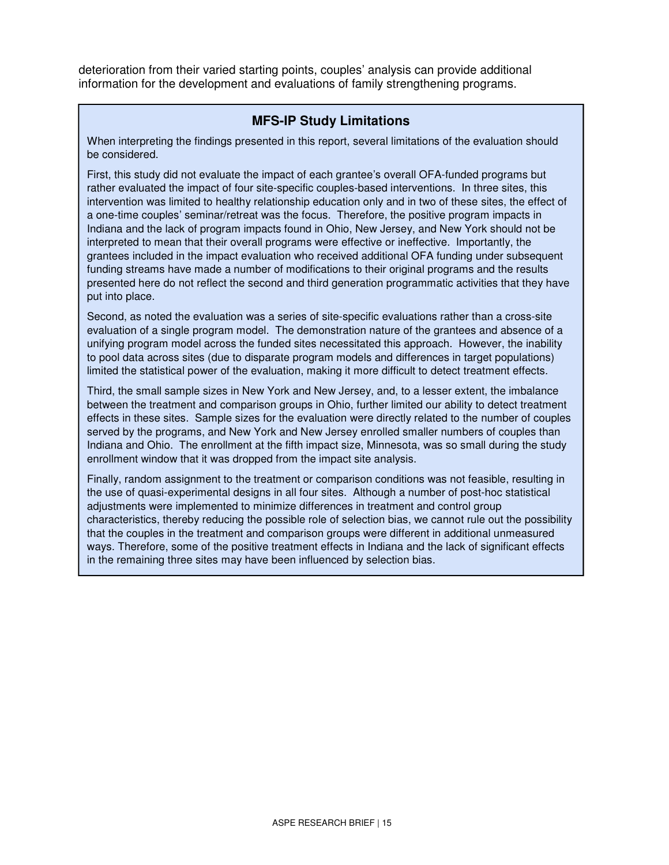deterioration from their varied starting points, couples' analysis can provide additional information for the development and evaluations of family strengthening programs.

#### **MFS-IP Study Limitations**

be considered. When interpreting the findings presented in this report, several limitations of the evaluation should

 rather evaluated the impact of four site-specific couples-based interventions. In three sites, this a one-time couples' seminar/retreat was the focus. Therefore, the positive program impacts in interpreted to mean that their overall programs were effective or ineffective. Importantly, the put into place. First, this study did not evaluate the impact of each grantee's overall OFA-funded programs but intervention was limited to healthy relationship education only and in two of these sites, the effect of Indiana and the lack of program impacts found in Ohio, New Jersey, and New York should not be grantees included in the impact evaluation who received additional OFA funding under subsequent funding streams have made a number of modifications to their original programs and the results presented here do not reflect the second and third generation programmatic activities that they have

 evaluation of a single program model. The demonstration nature of the grantees and absence of a Second, as noted the evaluation was a series of site-specific evaluations rather than a cross-site unifying program model across the funded sites necessitated this approach. However, the inability to pool data across sites (due to disparate program models and differences in target populations) limited the statistical power of the evaluation, making it more difficult to detect treatment effects.

 Indiana and Ohio. The enrollment at the fifth impact size, Minnesota, was so small during the study Third, the small sample sizes in New York and New Jersey, and, to a lesser extent, the imbalance between the treatment and comparison groups in Ohio, further limited our ability to detect treatment effects in these sites. Sample sizes for the evaluation were directly related to the number of couples served by the programs, and New York and New Jersey enrolled smaller numbers of couples than enrollment window that it was dropped from the impact site analysis.

Finally, random assignment to the treatment or comparison conditions was not feasible, resulting in the use of quasi-experimental designs in all four sites. Although a number of post-hoc statistical adjustments were implemented to minimize differences in treatment and control group characteristics, thereby reducing the possible role of selection bias, we cannot rule out the possibility that the couples in the treatment and comparison groups were different in additional unmeasured ways. Therefore, some of the positive treatment effects in Indiana and the lack of significant effects in the remaining three sites may have been influenced by selection bias.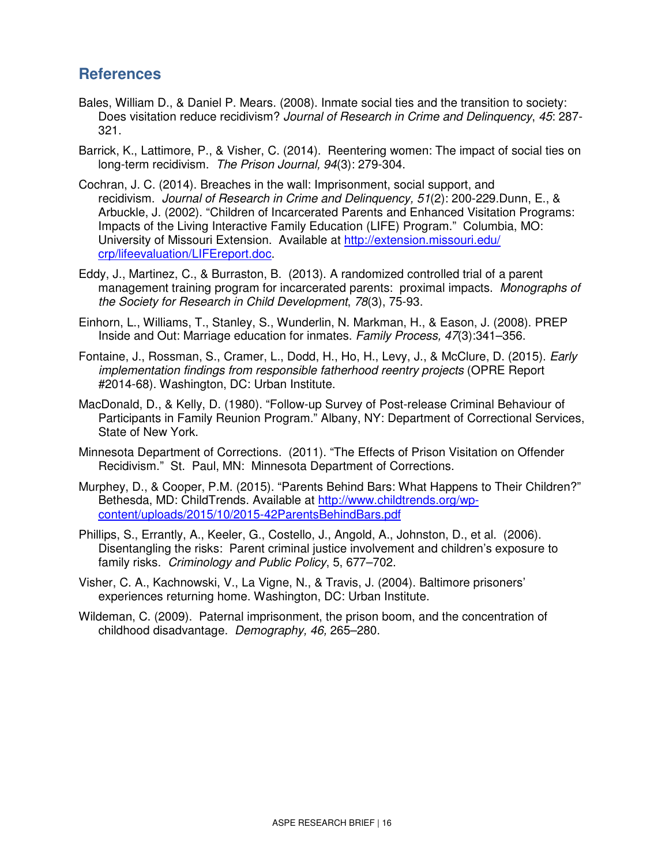# **References**

- Bales, William D., & Daniel P. Mears. (2008). Inmate social ties and the transition to society: Does visitation reduce recidivism? Journal of Research in Crime and Delinquency, 45: 287 321.
- Barrick, K., Lattimore, P., & Visher, C. (2014). Reentering women: The impact of social ties on long-term recidivism. The Prison Journal, 94(3): 279-304.
- Cochran, J. C. (2014). Breaches in the wall: Imprisonment, social support, and recidivism. Journal of Research in Crime and Delinquency, 51(2): 200-229.Dunn, E., & Arbuckle, J. (2002). "Children of Incarcerated Parents and Enhanced Visitation Programs: Impacts of the Living Interactive Family Education (LIFE) Program." Columbia, MO: University of Missouri Extension. Available at http://extension.missouri.edu/ crp/lifeevaluation/LIFEreport.doc.
- Eddy, J., Martinez, C., & Burraston, B. (2013). A randomized controlled trial of a parent management training program for incarcerated parents: proximal impacts. Monographs of the Society for Research in Child Development, 78(3), 75-93.
- Einhorn, L., Williams, T., Stanley, S., Wunderlin, N. Markman, H., & Eason, J. (2008). PREP Inside and Out: Marriage education for inmates. Family Process, 47(3):341–356.
- Fontaine, J., Rossman, S., Cramer, L., Dodd, H., Ho, H., Levy, J., & McClure, D. (2015). Early implementation findings from responsible fatherhood reentry projects (OPRE Report #2014-68). Washington, DC: Urban Institute.
- MacDonald, D., & Kelly, D. (1980). "Follow-up Survey of Post-release Criminal Behaviour of Participants in Family Reunion Program." Albany, NY: Department of Correctional Services, State of New York.
- Minnesota Department of Corrections. (2011). "The Effects of Prison Visitation on Offender Recidivism." St. Paul, MN: Minnesota Department of Corrections.
- Murphey, D., & Cooper, P.M. (2015). "Parents Behind Bars: What Happens to Their Children?" Bethesda, MD: ChildTrends. Available at <u>http://www.childtrends.org/wp-</u> content/uploads/2015/10/2015-42ParentsBehindBars.pdf
- content/uploads/2015/10/2015-42ParentsBehindBars.pdf Phillips, S., Errantly, A., Keeler, G., Costello, J., Angold, A., Johnston, D., et al. (2006). Disentangling the risks: Parent criminal justice involvement and children's exposure to family risks. Criminology and Public Policy, 5, 677–702.
- Visher, C. A., Kachnowski, V., La Vigne, N., & Travis, J. (2004). Baltimore prisoners' experiences returning home. Washington, DC: Urban Institute.
- Wildeman, C. (2009). Paternal imprisonment, the prison boom, and the concentration of childhood disadvantage. Demography, 46, 265–280.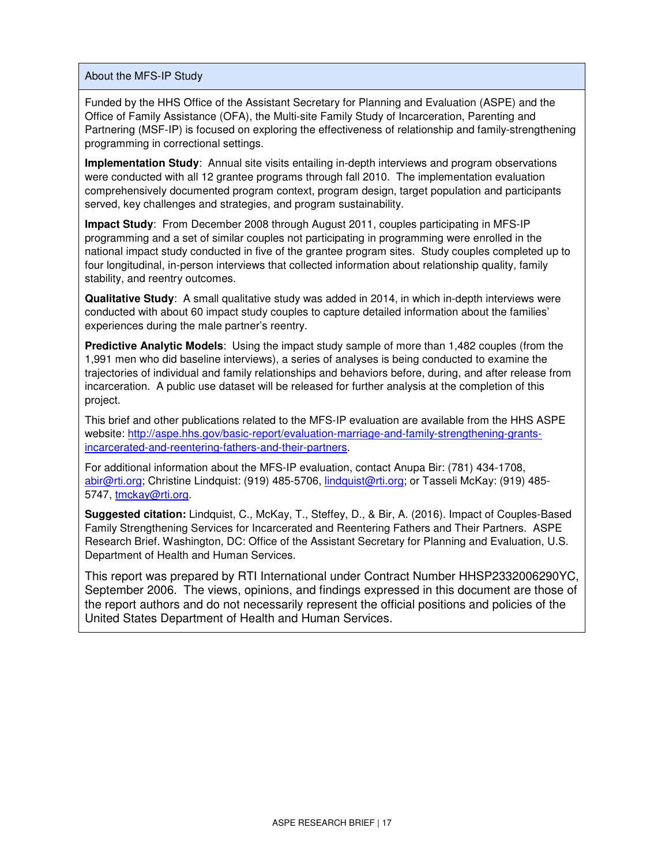About the MFS-IP Study

Funded by the HHS Office of the Assistant Secretary for Planning and Evaluation (ASPE) and the Office of Family Assistance (OFA), the Multi-site Family Study of Incarceration, Parenting and Partnering (MSF-IP) is focused on exploring the effectiveness of relationship and family-strengthening programming in correctional settings.

 **Implementation Study**: Annual site visits entailing in-depth interviews and program observations were conducted with all 12 grantee programs through fall 2010. The implementation evaluation comprehensively documented program context, program design, target population and participants served, key challenges and strategies, and program sustainability.

 **Impact Study**: From December 2008 through August 2011, couples participating in MFS-IP national impact study conducted in five of the grantee program sites. Study couples completed up to stability, and reentry outcomes. programming and a set of similar couples not participating in programming were enrolled in the four longitudinal, in-person interviews that collected information about relationship quality, family

 **Qualitative Study**: A small qualitative study was added in 2014, in which in-depth interviews were experiences during the male partner's reentry. conducted with about 60 impact study couples to capture detailed information about the families'

 **Predictive Analytic Models**: Using the impact study sample of more than 1,482 couples (from the project. 1,991 men who did baseline interviews), a series of analyses is being conducted to examine the trajectories of individual and family relationships and behaviors before, during, and after release from incarceration. A public use dataset will be released for further analysis at the completion of this

This brief and other publications related to the MFS-IP evaluation are available from the HHS ASPE website: http://aspe.hhs.gov/basic-report/evaluation-marriage-and-family-strengthening-grantsincarcerated-and-reentering-fathers-and-their-partners.

 For additional information about the MFS-IP evaluation, contact Anupa Bir: (781) 434-1708, <u>abir@rti.org</u>; Christine Lindquist: (919) 485-5706, <u>lindquist@rti.org</u>; or Tasseli McKay: (919) 485-5747, tmckay@rti.org.

 Family Strengthening Services for Incarcerated and Reentering Fathers and Their Partners. ASPE **Suggested citation:** Lindquist, C., McKay, T., Steffey, D., & Bir, A. (2016). Impact of Couples-Based Research Brief. Washington, DC: Office of the Assistant Secretary for Planning and Evaluation, U.S. Department of Health and Human Services.

This report was prepared by RTI International under Contract Number HHSP2332006290YC, September 2006. The views, opinions, and findings expressed in this document are those of the report authors and do not necessarily represent the official positions and policies of the United States Department of Health and Human Services.